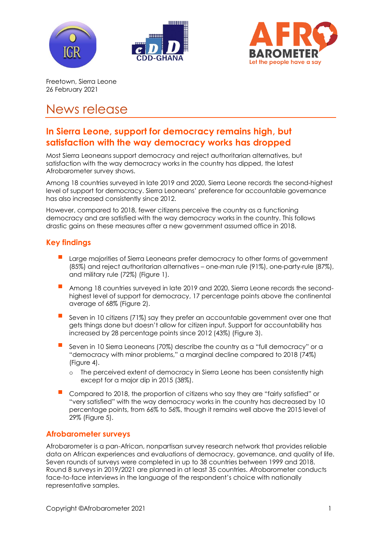





Freetown, Sierra Leone 26 February 2021

# News release

## **In Sierra Leone, support for democracy remains high, but satisfaction with the way democracy works has dropped**

Most Sierra Leoneans support democracy and reject authoritarian alternatives, but satisfaction with the way democracy works in the country has dipped, the latest Afrobarometer survey shows.

Among 18 countries surveyed in late 2019 and 2020, Sierra Leone records the second-highest level of support for democracy. Sierra Leoneans' preference for accountable governance has also increased consistently since 2012.

However, compared to 2018, fewer citizens perceive the country as a functioning democracy and are satisfied with the way democracy works in the country. This follows drastic gains on these measures after a new government assumed office in 2018.

## **Key findings**

- Large majorities of Sierra Leoneans prefer democracy to other forms of government (85%) and reject authoritarian alternatives – one-man rule (91%), one-party-rule (87%), and military rule (72%) (Figure 1).
- Among 18 countries surveyed in late 2019 and 2020, Sierra Leone records the secondhighest level of support for democracy, 17 percentage points above the continental average of 68% (Figure 2).
- Seven in 10 citizens (71%) say they prefer an accountable government over one that gets things done but doesn't allow for citizen input. Support for accountability has increased by 28 percentage points since 2012 (43%) (Figure 3).
- Seven in 10 Sierra Leoneans (70%) describe the country as a "full democracy" or a "democracy with minor problems," a marginal decline compared to 2018 (74%) (Figure 4).
	- o The perceived extent of democracy in Sierra Leone has been consistently high except for a major dip in 2015 (38%).
- Compared to 2018, the proportion of citizens who say they are "fairly satisfied" or "very satisfied" with the way democracy works in the country has decreased by 10 percentage points, from 66% to 56%, though it remains well above the 2015 level of 29% (Figure 5).

### **Afrobarometer surveys**

Afrobarometer is a pan-African, nonpartisan survey research network that provides reliable data on African experiences and evaluations of democracy, governance, and quality of life. Seven rounds of surveys were completed in up to 38 countries between 1999 and 2018. Round 8 surveys in 2019/2021 are planned in at least 35 countries. Afrobarometer conducts face-to-face interviews in the language of the respondent's choice with nationally representative samples.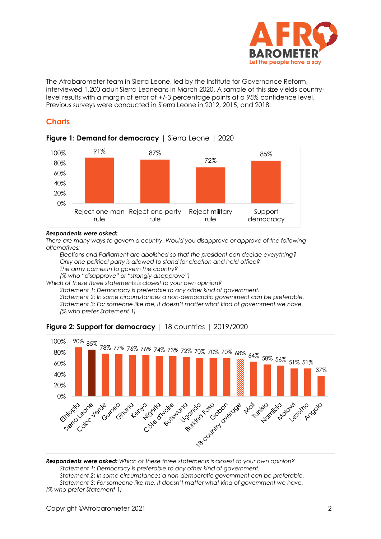

The Afrobarometer team in Sierra Leone, led by the Institute for Governance Reform, interviewed 1,200 adult Sierra Leoneans in March 2020. A sample of this size yields countrylevel results with a margin of error of +/-3 percentage points at a 95% confidence level. Previous surveys were conducted in Sierra Leone in 2012, 2015, and 2018.

#### **Charts**



#### **Figure 1: Demand for democracy** | Sierra Leone | 2020

#### *Respondents were asked:*

*There are many ways to govern a country. Would you disapprove or approve of the following alternatives:* 

*Elections and Parliament are abolished so that the president can decide everything? Only one political party is allowed to stand for election and hold office? The army comes in to govern the country? (% who "disapprove" or "strongly disapprove")*

*Which of these three statements is closest to your own opinion?* 

*Statement 1: Democracy is preferable to any other kind of government.*

*Statement 2: In some circumstances a non-democratic government can be preferable. Statement 3: For someone like me, it doesn't matter what kind of government we have. (% who prefer Statement 1)*



#### **Figure 2: Support for democracy** | 18 countries | 2019/2020

*Respondents were asked: Which of these three statements is closest to your own opinion? Statement 1: Democracy is preferable to any other kind of government. Statement 2: In some circumstances a non-democratic government can be preferable. Statement 3: For someone like me, it doesn't matter what kind of government we have. (% who prefer Statement 1)*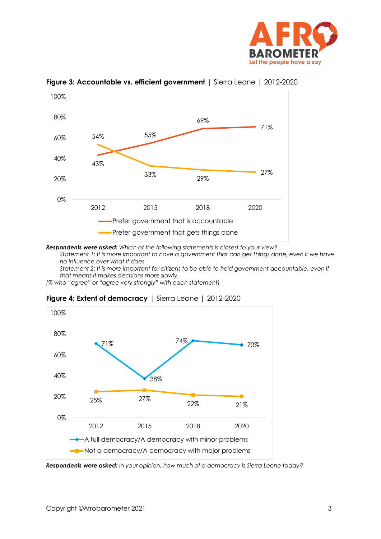



**Figure 3: Accountable vs. efficient government** | Sierra Leone | 2012-2020

*Respondents were asked: Which of the following statements is closest to your view?*

*Statement 1: It is more important to have a government that can get things done, even if we have no influence over what it does.* 

*Statement 2: It is more important for citizens to be able to hold government accountable, even if that means it makes decisions more slowly.*

*(% who "agree" or "agree very strongly" with each statement)*



**Figure 4: Extent of democracy** | Sierra Leone | 2012-2020

*Respondents were asked: In your opinion, how much of a democracy is Sierra Leone today?*